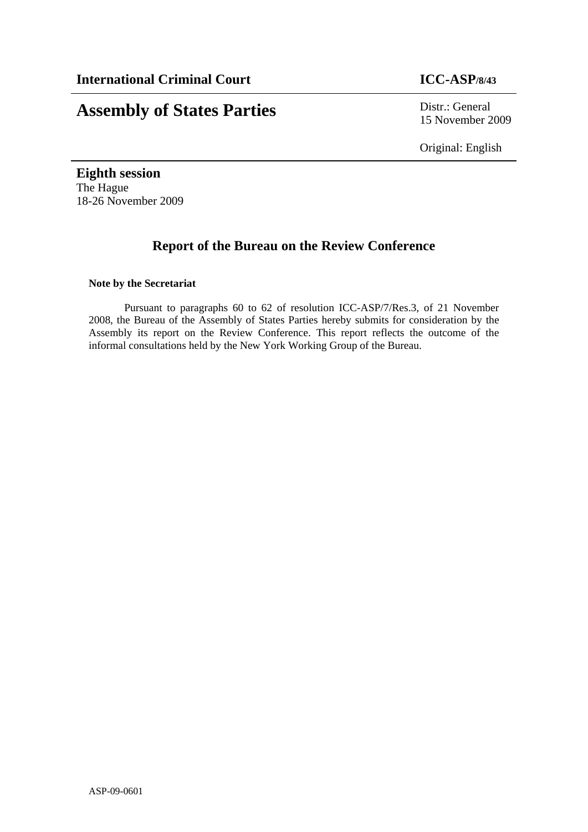# **Assembly of States Parties** Distr.: General

15 November 2009

Original: English

**Eighth session**  The Hague 18-26 November 2009

# **Report of the Bureau on the Review Conference**

## **Note by the Secretariat**

Pursuant to paragraphs 60 to 62 of resolution ICC-ASP/7/Res.3, of 21 November 2008, the Bureau of the Assembly of States Parties hereby submits for consideration by the Assembly its report on the Review Conference. This report reflects the outcome of the informal consultations held by the New York Working Group of the Bureau.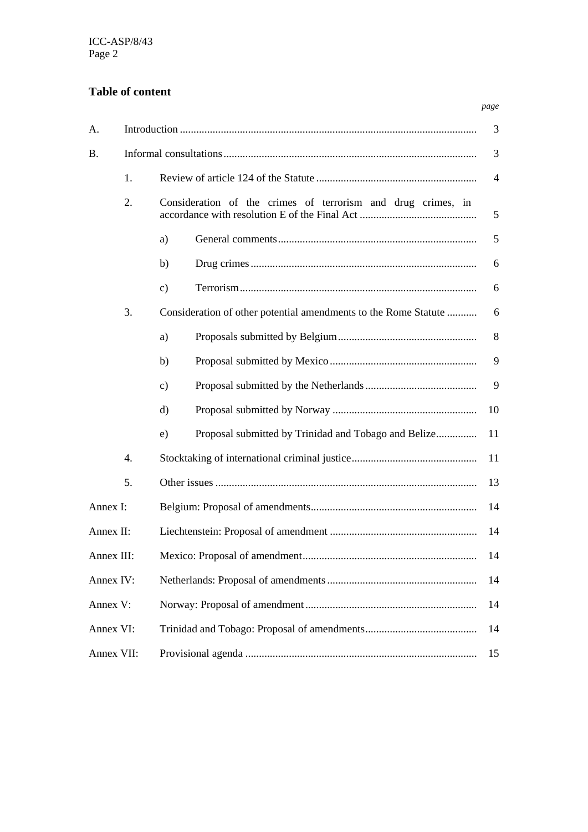# **Table of content**

| А.         |    |                                                                 | 3              |
|------------|----|-----------------------------------------------------------------|----------------|
| <b>B.</b>  |    |                                                                 | 3              |
|            | 1. |                                                                 | $\overline{4}$ |
|            | 2. | Consideration of the crimes of terrorism and drug crimes, in    | 5              |
|            |    | a)                                                              | 5              |
|            |    | b)                                                              | 6              |
|            |    | $\mathbf{c})$                                                   | 6              |
|            | 3. | Consideration of other potential amendments to the Rome Statute | 6              |
|            |    | a)                                                              | 8              |
|            |    | b)                                                              | 9              |
|            |    | $\mathbf{c})$                                                   | 9              |
|            |    | $\rm d)$                                                        | 10             |
|            |    | Proposal submitted by Trinidad and Tobago and Belize<br>e)      | 11             |
|            | 4. |                                                                 | 11             |
|            | 5. |                                                                 | 13             |
| Annex I:   |    |                                                                 | 14             |
| Annex II:  |    |                                                                 | 14             |
| Annex III: |    |                                                                 | 14             |
| Annex IV:  |    |                                                                 | 14             |
| Annex V:   |    |                                                                 | 14             |
| Annex VI:  |    |                                                                 | 14             |
| Annex VII: |    |                                                                 | 15             |

*page*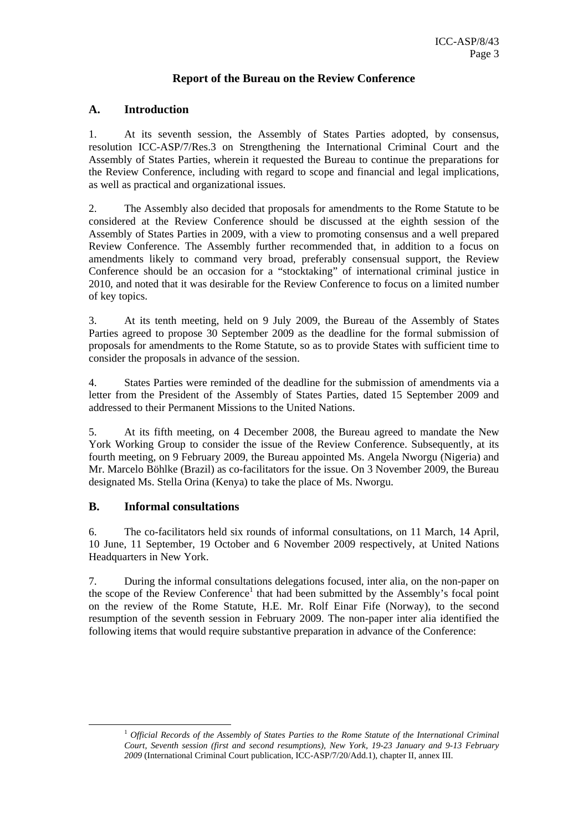# **Report of the Bureau on the Review Conference**

# **A. Introduction**

1. At its seventh session, the Assembly of States Parties adopted, by consensus, resolution ICC-ASP/7/Res.3 on Strengthening the International Criminal Court and the Assembly of States Parties, wherein it requested the Bureau to continue the preparations for the Review Conference, including with regard to scope and financial and legal implications, as well as practical and organizational issues.

2. The Assembly also decided that proposals for amendments to the Rome Statute to be considered at the Review Conference should be discussed at the eighth session of the Assembly of States Parties in 2009, with a view to promoting consensus and a well prepared Review Conference. The Assembly further recommended that, in addition to a focus on amendments likely to command very broad, preferably consensual support, the Review Conference should be an occasion for a "stocktaking" of international criminal justice in 2010, and noted that it was desirable for the Review Conference to focus on a limited number of key topics.

3. At its tenth meeting, held on 9 July 2009, the Bureau of the Assembly of States Parties agreed to propose 30 September 2009 as the deadline for the formal submission of proposals for amendments to the Rome Statute, so as to provide States with sufficient time to consider the proposals in advance of the session.

4. States Parties were reminded of the deadline for the submission of amendments via a letter from the President of the Assembly of States Parties, dated 15 September 2009 and addressed to their Permanent Missions to the United Nations.

5. At its fifth meeting, on 4 December 2008, the Bureau agreed to mandate the New York Working Group to consider the issue of the Review Conference. Subsequently, at its fourth meeting, on 9 February 2009, the Bureau appointed Ms. Angela Nworgu (Nigeria) and Mr. Marcelo Böhlke (Brazil) as co-facilitators for the issue. On 3 November 2009, the Bureau designated Ms. Stella Orina (Kenya) to take the place of Ms. Nworgu.

# **B. Informal consultations**

6. The co-facilitators held six rounds of informal consultations, on 11 March, 14 April, 10 June, 11 September, 19 October and 6 November 2009 respectively, at United Nations Headquarters in New York.

7. During the informal consultations delegations focused, inter alia, on the non-paper on the scope of the Review Conference<sup>1</sup> that had been submitted by the Assembly's focal point on the review of the Rome Statute, H.E. Mr. Rolf Einar Fife (Norway), to the second resumption of the seventh session in February 2009. The non-paper inter alia identified the following items that would require substantive preparation in advance of the Conference:

 <sup>1</sup> *Official Records of the Assembly of States Parties to the Rome Statute of the International Criminal Court, Seventh session (first and second resumptions), New York, 19-23 January and 9-13 February 2009* (International Criminal Court publication, ICC-ASP/7/20/Add.1), chapter II, annex III.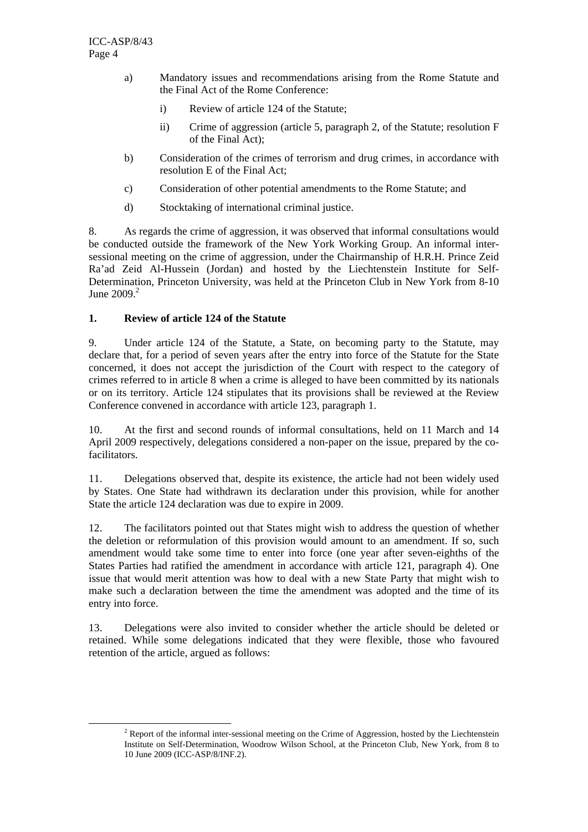- a) Mandatory issues and recommendations arising from the Rome Statute and the Final Act of the Rome Conference:
	- i) Review of article 124 of the Statute;
	- ii) Crime of aggression (article 5, paragraph 2, of the Statute; resolution F of the Final Act);
- b) Consideration of the crimes of terrorism and drug crimes, in accordance with resolution E of the Final Act;
- c) Consideration of other potential amendments to the Rome Statute; and
- d) Stocktaking of international criminal justice.

8. As regards the crime of aggression, it was observed that informal consultations would be conducted outside the framework of the New York Working Group. An informal intersessional meeting on the crime of aggression, under the Chairmanship of H.R.H. Prince Zeid Ra'ad Zeid Al-Hussein (Jordan) and hosted by the Liechtenstein Institute for Self-Determination, Princeton University, was held at the Princeton Club in New York from 8-10 June  $2009<sup>2</sup>$ 

## **1. Review of article 124 of the Statute**

9. Under article 124 of the Statute, a State, on becoming party to the Statute, may declare that, for a period of seven years after the entry into force of the Statute for the State concerned, it does not accept the jurisdiction of the Court with respect to the category of crimes referred to in article 8 when a crime is alleged to have been committed by its nationals or on its territory. Article 124 stipulates that its provisions shall be reviewed at the Review Conference convened in accordance with article 123, paragraph 1.

10. At the first and second rounds of informal consultations, held on 11 March and 14 April 2009 respectively, delegations considered a non-paper on the issue, prepared by the cofacilitators.

11. Delegations observed that, despite its existence, the article had not been widely used by States. One State had withdrawn its declaration under this provision, while for another State the article 124 declaration was due to expire in 2009.

12. The facilitators pointed out that States might wish to address the question of whether the deletion or reformulation of this provision would amount to an amendment. If so, such amendment would take some time to enter into force (one year after seven-eighths of the States Parties had ratified the amendment in accordance with article 121, paragraph 4). One issue that would merit attention was how to deal with a new State Party that might wish to make such a declaration between the time the amendment was adopted and the time of its entry into force.

13. Delegations were also invited to consider whether the article should be deleted or retained. While some delegations indicated that they were flexible, those who favoured retention of the article, argued as follows:

 $\frac{1}{2}$  $2$  Report of the informal inter-sessional meeting on the Crime of Aggression, hosted by the Liechtenstein Institute on Self-Determination, Woodrow Wilson School, at the Princeton Club, New York, from 8 to 10 June 2009 (ICC-ASP/8/INF.2).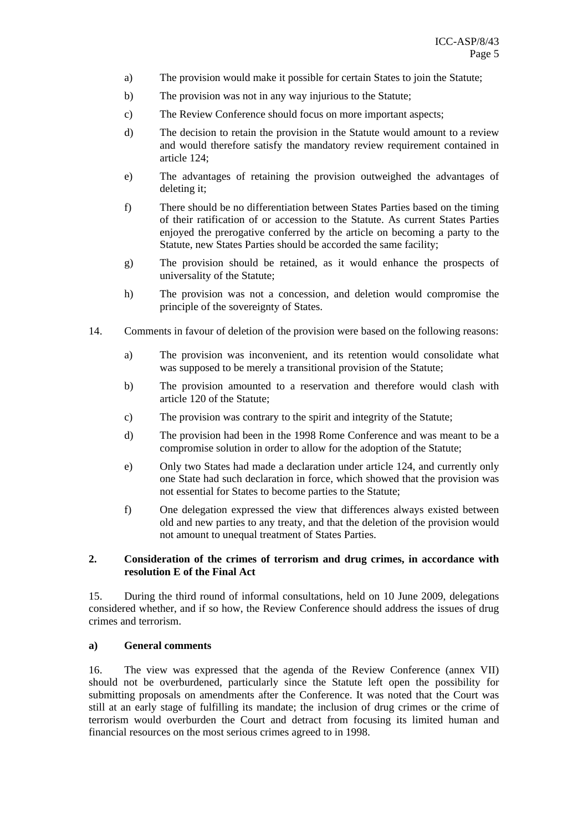- a) The provision would make it possible for certain States to join the Statute;
- b) The provision was not in any way injurious to the Statute;
- c) The Review Conference should focus on more important aspects;
- d) The decision to retain the provision in the Statute would amount to a review and would therefore satisfy the mandatory review requirement contained in article 124;
- e) The advantages of retaining the provision outweighed the advantages of deleting it;
- f) There should be no differentiation between States Parties based on the timing of their ratification of or accession to the Statute. As current States Parties enjoyed the prerogative conferred by the article on becoming a party to the Statute, new States Parties should be accorded the same facility;
- g) The provision should be retained, as it would enhance the prospects of universality of the Statute;
- h) The provision was not a concession, and deletion would compromise the principle of the sovereignty of States.
- 14. Comments in favour of deletion of the provision were based on the following reasons:
	- a) The provision was inconvenient, and its retention would consolidate what was supposed to be merely a transitional provision of the Statute;
	- b) The provision amounted to a reservation and therefore would clash with article 120 of the Statute;
	- c) The provision was contrary to the spirit and integrity of the Statute;
	- d) The provision had been in the 1998 Rome Conference and was meant to be a compromise solution in order to allow for the adoption of the Statute;
	- e) Only two States had made a declaration under article 124, and currently only one State had such declaration in force, which showed that the provision was not essential for States to become parties to the Statute;
	- f) One delegation expressed the view that differences always existed between old and new parties to any treaty, and that the deletion of the provision would not amount to unequal treatment of States Parties.

#### **2. Consideration of the crimes of terrorism and drug crimes, in accordance with resolution E of the Final Act**

15. During the third round of informal consultations, held on 10 June 2009, delegations considered whether, and if so how, the Review Conference should address the issues of drug crimes and terrorism.

#### **a) General comments**

16. The view was expressed that the agenda of the Review Conference (annex VII) should not be overburdened, particularly since the Statute left open the possibility for submitting proposals on amendments after the Conference. It was noted that the Court was still at an early stage of fulfilling its mandate; the inclusion of drug crimes or the crime of terrorism would overburden the Court and detract from focusing its limited human and financial resources on the most serious crimes agreed to in 1998.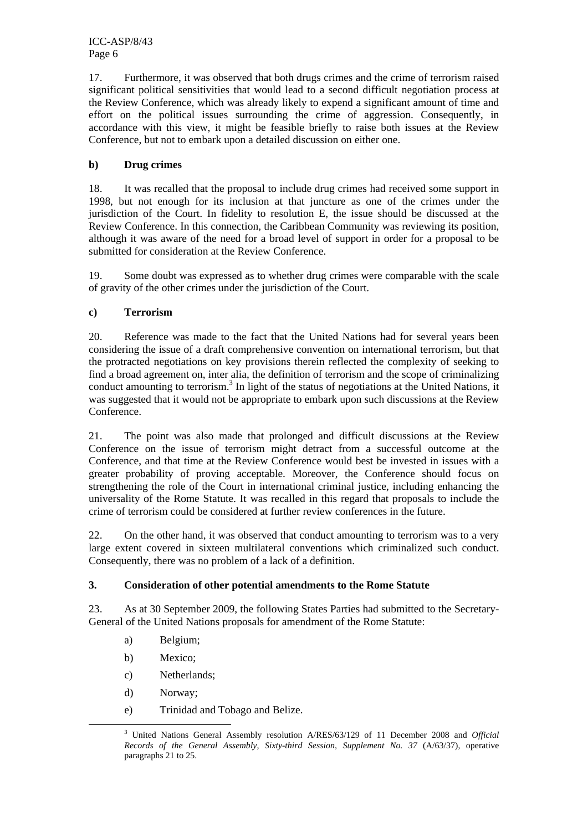ICC-ASP/8/43 Page 6

17. Furthermore, it was observed that both drugs crimes and the crime of terrorism raised significant political sensitivities that would lead to a second difficult negotiation process at the Review Conference, which was already likely to expend a significant amount of time and effort on the political issues surrounding the crime of aggression. Consequently, in accordance with this view, it might be feasible briefly to raise both issues at the Review Conference, but not to embark upon a detailed discussion on either one.

## **b) Drug crimes**

18. It was recalled that the proposal to include drug crimes had received some support in 1998, but not enough for its inclusion at that juncture as one of the crimes under the jurisdiction of the Court. In fidelity to resolution E, the issue should be discussed at the Review Conference. In this connection, the Caribbean Community was reviewing its position, although it was aware of the need for a broad level of support in order for a proposal to be submitted for consideration at the Review Conference.

19. Some doubt was expressed as to whether drug crimes were comparable with the scale of gravity of the other crimes under the jurisdiction of the Court.

## **c) Terrorism**

20. Reference was made to the fact that the United Nations had for several years been considering the issue of a draft comprehensive convention on international terrorism, but that the protracted negotiations on key provisions therein reflected the complexity of seeking to find a broad agreement on, inter alia, the definition of terrorism and the scope of criminalizing conduct amounting to terrorism.<sup>3</sup> In light of the status of negotiations at the United Nations, it was suggested that it would not be appropriate to embark upon such discussions at the Review Conference.

21. The point was also made that prolonged and difficult discussions at the Review Conference on the issue of terrorism might detract from a successful outcome at the Conference, and that time at the Review Conference would best be invested in issues with a greater probability of proving acceptable. Moreover, the Conference should focus on strengthening the role of the Court in international criminal justice, including enhancing the universality of the Rome Statute. It was recalled in this regard that proposals to include the crime of terrorism could be considered at further review conferences in the future.

22. On the other hand, it was observed that conduct amounting to terrorism was to a very large extent covered in sixteen multilateral conventions which criminalized such conduct. Consequently, there was no problem of a lack of a definition.

#### **3. Consideration of other potential amendments to the Rome Statute**

23. As at 30 September 2009, the following States Parties had submitted to the Secretary-General of the United Nations proposals for amendment of the Rome Statute:

- a) Belgium;
- b) Mexico;
- c) Netherlands;
- d) Norway;
- e) Trinidad and Tobago and Belize.

 $\frac{3}{3}$  United Nations General Assembly resolution A/RES/63/129 of 11 December 2008 and *Official Records of the General Assembly, Sixty-third Session, Supplement No. 37* (A/63/37), operative paragraphs 21 to 25.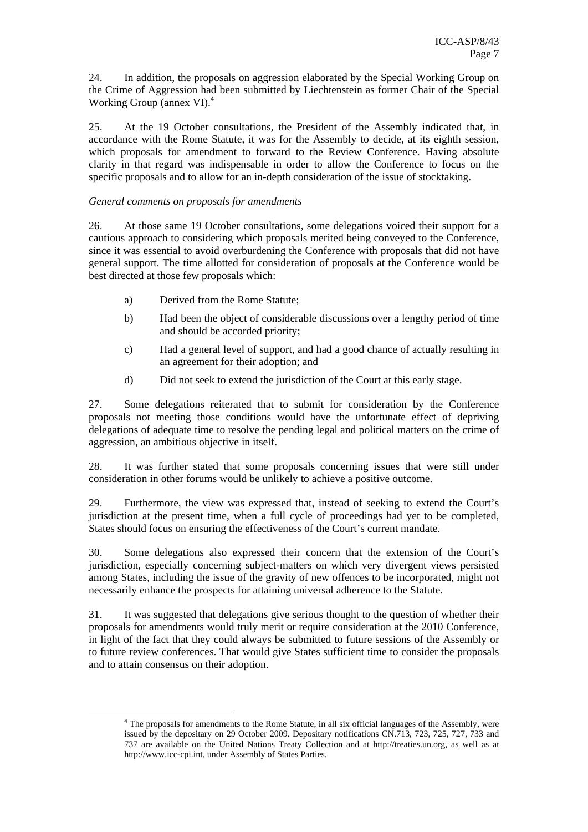24. In addition, the proposals on aggression elaborated by the Special Working Group on the Crime of Aggression had been submitted by Liechtenstein as former Chair of the Special Working Group (annex VI).<sup>4</sup>

25. At the 19 October consultations, the President of the Assembly indicated that, in accordance with the Rome Statute, it was for the Assembly to decide, at its eighth session, which proposals for amendment to forward to the Review Conference. Having absolute clarity in that regard was indispensable in order to allow the Conference to focus on the specific proposals and to allow for an in-depth consideration of the issue of stocktaking.

#### *General comments on proposals for amendments*

26. At those same 19 October consultations, some delegations voiced their support for a cautious approach to considering which proposals merited being conveyed to the Conference, since it was essential to avoid overburdening the Conference with proposals that did not have general support. The time allotted for consideration of proposals at the Conference would be best directed at those few proposals which:

- a) Derived from the Rome Statute;
- b) Had been the object of considerable discussions over a lengthy period of time and should be accorded priority;
- c) Had a general level of support, and had a good chance of actually resulting in an agreement for their adoption; and
- d) Did not seek to extend the jurisdiction of the Court at this early stage.

27. Some delegations reiterated that to submit for consideration by the Conference proposals not meeting those conditions would have the unfortunate effect of depriving delegations of adequate time to resolve the pending legal and political matters on the crime of aggression, an ambitious objective in itself.

28. It was further stated that some proposals concerning issues that were still under consideration in other forums would be unlikely to achieve a positive outcome.

29. Furthermore, the view was expressed that, instead of seeking to extend the Court's jurisdiction at the present time, when a full cycle of proceedings had yet to be completed, States should focus on ensuring the effectiveness of the Court's current mandate.

30. Some delegations also expressed their concern that the extension of the Court's jurisdiction, especially concerning subject-matters on which very divergent views persisted among States, including the issue of the gravity of new offences to be incorporated, might not necessarily enhance the prospects for attaining universal adherence to the Statute.

31. It was suggested that delegations give serious thought to the question of whether their proposals for amendments would truly merit or require consideration at the 2010 Conference, in light of the fact that they could always be submitted to future sessions of the Assembly or to future review conferences. That would give States sufficient time to consider the proposals and to attain consensus on their adoption.

 $\frac{1}{4}$ <sup>4</sup> The proposals for amendments to the Rome Statute, in all six official languages of the Assembly, were issued by the depositary on 29 October 2009. Depositary notifications CN.713, 723, 725, 727, 733 and 737 are available on the United Nations Treaty Collection and at http://treaties.un.org, as well as at http://www.icc-cpi.int, under Assembly of States Parties.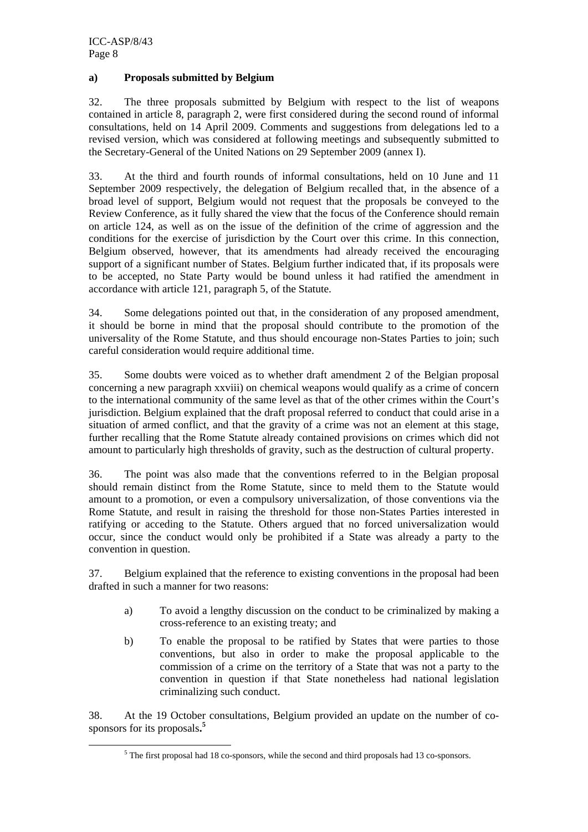#### **a) Proposals submitted by Belgium**

32. The three proposals submitted by Belgium with respect to the list of weapons contained in article 8, paragraph 2, were first considered during the second round of informal consultations, held on 14 April 2009. Comments and suggestions from delegations led to a revised version, which was considered at following meetings and subsequently submitted to the Secretary-General of the United Nations on 29 September 2009 (annex I).

33. At the third and fourth rounds of informal consultations, held on 10 June and 11 September 2009 respectively, the delegation of Belgium recalled that, in the absence of a broad level of support, Belgium would not request that the proposals be conveyed to the Review Conference, as it fully shared the view that the focus of the Conference should remain on article 124, as well as on the issue of the definition of the crime of aggression and the conditions for the exercise of jurisdiction by the Court over this crime. In this connection, Belgium observed, however, that its amendments had already received the encouraging support of a significant number of States. Belgium further indicated that, if its proposals were to be accepted, no State Party would be bound unless it had ratified the amendment in accordance with article 121, paragraph 5, of the Statute.

34. Some delegations pointed out that, in the consideration of any proposed amendment, it should be borne in mind that the proposal should contribute to the promotion of the universality of the Rome Statute, and thus should encourage non-States Parties to join; such careful consideration would require additional time.

35. Some doubts were voiced as to whether draft amendment 2 of the Belgian proposal concerning a new paragraph xxviii) on chemical weapons would qualify as a crime of concern to the international community of the same level as that of the other crimes within the Court's jurisdiction. Belgium explained that the draft proposal referred to conduct that could arise in a situation of armed conflict, and that the gravity of a crime was not an element at this stage, further recalling that the Rome Statute already contained provisions on crimes which did not amount to particularly high thresholds of gravity, such as the destruction of cultural property.

36. The point was also made that the conventions referred to in the Belgian proposal should remain distinct from the Rome Statute, since to meld them to the Statute would amount to a promotion, or even a compulsory universalization, of those conventions via the Rome Statute, and result in raising the threshold for those non-States Parties interested in ratifying or acceding to the Statute. Others argued that no forced universalization would occur, since the conduct would only be prohibited if a State was already a party to the convention in question.

37. Belgium explained that the reference to existing conventions in the proposal had been drafted in such a manner for two reasons:

- a) To avoid a lengthy discussion on the conduct to be criminalized by making a cross-reference to an existing treaty; and
- b) To enable the proposal to be ratified by States that were parties to those conventions, but also in order to make the proposal applicable to the commission of a crime on the territory of a State that was not a party to the convention in question if that State nonetheless had national legislation criminalizing such conduct.

38. At the 19 October consultations, Belgium provided an update on the number of cosponsors for its proposals**. 5**

 $rac{1}{5}$ <sup>5</sup> The first proposal had 18 co-sponsors, while the second and third proposals had 13 co-sponsors.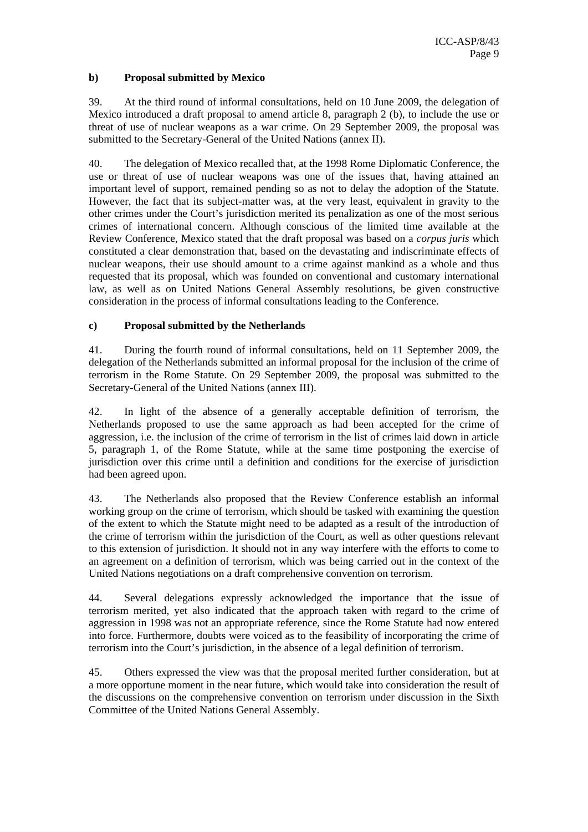## **b) Proposal submitted by Mexico**

39. At the third round of informal consultations, held on 10 June 2009, the delegation of Mexico introduced a draft proposal to amend article 8, paragraph 2 (b), to include the use or threat of use of nuclear weapons as a war crime. On 29 September 2009, the proposal was submitted to the Secretary-General of the United Nations (annex II).

40. The delegation of Mexico recalled that, at the 1998 Rome Diplomatic Conference, the use or threat of use of nuclear weapons was one of the issues that, having attained an important level of support, remained pending so as not to delay the adoption of the Statute. However, the fact that its subject-matter was, at the very least, equivalent in gravity to the other crimes under the Court's jurisdiction merited its penalization as one of the most serious crimes of international concern. Although conscious of the limited time available at the Review Conference, Mexico stated that the draft proposal was based on a *corpus juris* which constituted a clear demonstration that, based on the devastating and indiscriminate effects of nuclear weapons, their use should amount to a crime against mankind as a whole and thus requested that its proposal, which was founded on conventional and customary international law, as well as on United Nations General Assembly resolutions, be given constructive consideration in the process of informal consultations leading to the Conference.

## **c) Proposal submitted by the Netherlands**

41. During the fourth round of informal consultations, held on 11 September 2009, the delegation of the Netherlands submitted an informal proposal for the inclusion of the crime of terrorism in the Rome Statute. On 29 September 2009, the proposal was submitted to the Secretary-General of the United Nations (annex III).

42. In light of the absence of a generally acceptable definition of terrorism, the Netherlands proposed to use the same approach as had been accepted for the crime of aggression, i.e. the inclusion of the crime of terrorism in the list of crimes laid down in article 5, paragraph 1, of the Rome Statute, while at the same time postponing the exercise of jurisdiction over this crime until a definition and conditions for the exercise of jurisdiction had been agreed upon.

43. The Netherlands also proposed that the Review Conference establish an informal working group on the crime of terrorism, which should be tasked with examining the question of the extent to which the Statute might need to be adapted as a result of the introduction of the crime of terrorism within the jurisdiction of the Court, as well as other questions relevant to this extension of jurisdiction. It should not in any way interfere with the efforts to come to an agreement on a definition of terrorism, which was being carried out in the context of the United Nations negotiations on a draft comprehensive convention on terrorism.

44. Several delegations expressly acknowledged the importance that the issue of terrorism merited, yet also indicated that the approach taken with regard to the crime of aggression in 1998 was not an appropriate reference, since the Rome Statute had now entered into force. Furthermore, doubts were voiced as to the feasibility of incorporating the crime of terrorism into the Court's jurisdiction, in the absence of a legal definition of terrorism.

45. Others expressed the view was that the proposal merited further consideration, but at a more opportune moment in the near future, which would take into consideration the result of the discussions on the comprehensive convention on terrorism under discussion in the Sixth Committee of the United Nations General Assembly.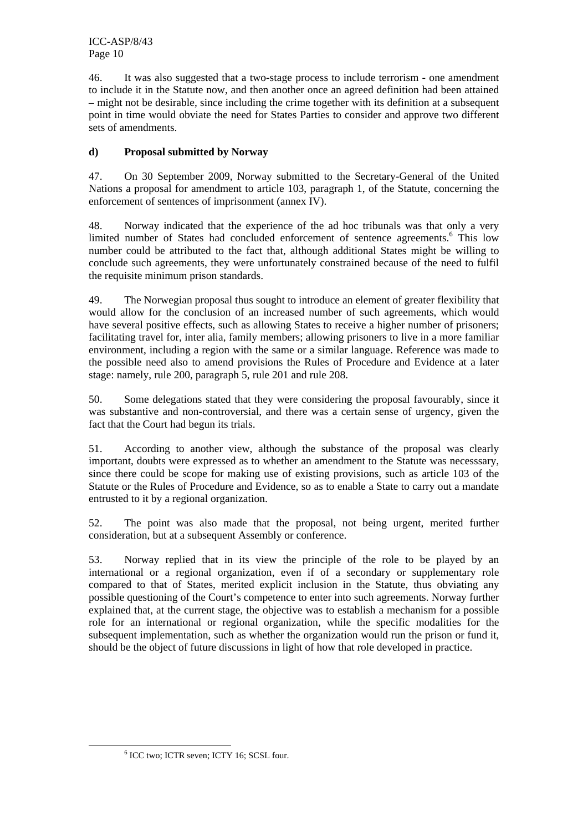46. It was also suggested that a two-stage process to include terrorism - one amendment to include it in the Statute now, and then another once an agreed definition had been attained – might not be desirable, since including the crime together with its definition at a subsequent point in time would obviate the need for States Parties to consider and approve two different sets of amendments.

# **d) Proposal submitted by Norway**

47. On 30 September 2009, Norway submitted to the Secretary-General of the United Nations a proposal for amendment to article 103, paragraph 1, of the Statute, concerning the enforcement of sentences of imprisonment (annex IV).

48. Norway indicated that the experience of the ad hoc tribunals was that only a very limited number of States had concluded enforcement of sentence agreements.<sup>6</sup> This low number could be attributed to the fact that, although additional States might be willing to conclude such agreements, they were unfortunately constrained because of the need to fulfil the requisite minimum prison standards.

49. The Norwegian proposal thus sought to introduce an element of greater flexibility that would allow for the conclusion of an increased number of such agreements, which would have several positive effects, such as allowing States to receive a higher number of prisoners; facilitating travel for, inter alia, family members; allowing prisoners to live in a more familiar environment, including a region with the same or a similar language. Reference was made to the possible need also to amend provisions the Rules of Procedure and Evidence at a later stage: namely, rule 200, paragraph 5, rule 201 and rule 208.

50. Some delegations stated that they were considering the proposal favourably, since it was substantive and non-controversial, and there was a certain sense of urgency, given the fact that the Court had begun its trials.

51. According to another view, although the substance of the proposal was clearly important, doubts were expressed as to whether an amendment to the Statute was necesssary, since there could be scope for making use of existing provisions, such as article 103 of the Statute or the Rules of Procedure and Evidence, so as to enable a State to carry out a mandate entrusted to it by a regional organization.

52. The point was also made that the proposal, not being urgent, merited further consideration, but at a subsequent Assembly or conference.

53. Norway replied that in its view the principle of the role to be played by an international or a regional organization, even if of a secondary or supplementary role compared to that of States, merited explicit inclusion in the Statute, thus obviating any possible questioning of the Court's competence to enter into such agreements. Norway further explained that, at the current stage, the objective was to establish a mechanism for a possible role for an international or regional organization, while the specific modalities for the subsequent implementation, such as whether the organization would run the prison or fund it, should be the object of future discussions in light of how that role developed in practice.

 <sup>6</sup>  $6$  ICC two; ICTR seven; ICTY 16; SCSL four.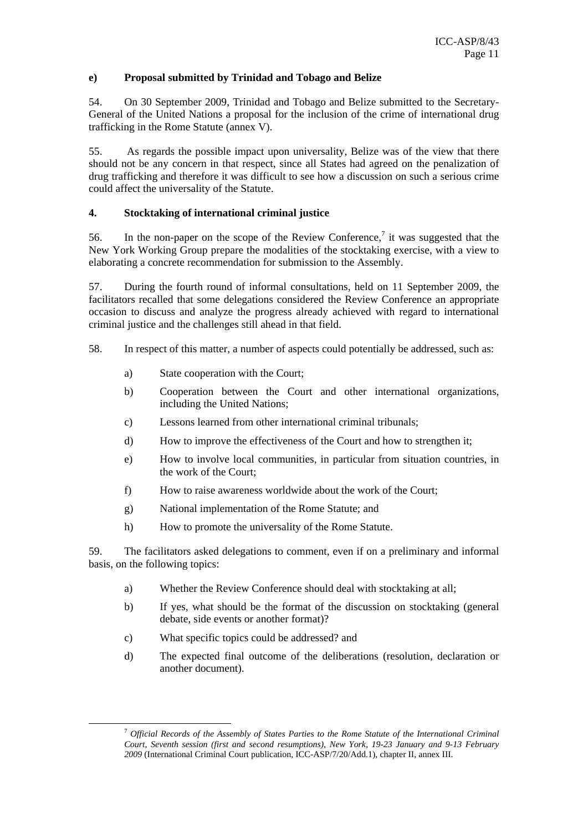#### **e) Proposal submitted by Trinidad and Tobago and Belize**

54. On 30 September 2009, Trinidad and Tobago and Belize submitted to the Secretary-General of the United Nations a proposal for the inclusion of the crime of international drug trafficking in the Rome Statute (annex V).

55. As regards the possible impact upon universality, Belize was of the view that there should not be any concern in that respect, since all States had agreed on the penalization of drug trafficking and therefore it was difficult to see how a discussion on such a serious crime could affect the universality of the Statute.

## **4. Stocktaking of international criminal justice**

56. In the non-paper on the scope of the Review Conference,<sup>7</sup> it was suggested that the New York Working Group prepare the modalities of the stocktaking exercise, with a view to elaborating a concrete recommendation for submission to the Assembly.

57. During the fourth round of informal consultations, held on 11 September 2009, the facilitators recalled that some delegations considered the Review Conference an appropriate occasion to discuss and analyze the progress already achieved with regard to international criminal justice and the challenges still ahead in that field.

- 58. In respect of this matter, a number of aspects could potentially be addressed, such as:
	- a) State cooperation with the Court;
	- b) Cooperation between the Court and other international organizations, including the United Nations;
	- c) Lessons learned from other international criminal tribunals;
	- d) How to improve the effectiveness of the Court and how to strengthen it;
	- e) How to involve local communities, in particular from situation countries, in the work of the Court;
	- f) How to raise awareness worldwide about the work of the Court;
	- g) National implementation of the Rome Statute; and
	- h) How to promote the universality of the Rome Statute.

59. The facilitators asked delegations to comment, even if on a preliminary and informal basis, on the following topics:

- a) Whether the Review Conference should deal with stocktaking at all;
- b) If yes, what should be the format of the discussion on stocktaking (general debate, side events or another format)?
- c) What specific topics could be addressed? and
- d) The expected final outcome of the deliberations (resolution, declaration or another document).

 <sup>7</sup> *Official Records of the Assembly of States Parties to the Rome Statute of the International Criminal Court, Seventh session (first and second resumptions), New York, 19-23 January and 9-13 February 2009* (International Criminal Court publication, ICC-ASP/7/20/Add.1), chapter II, annex III.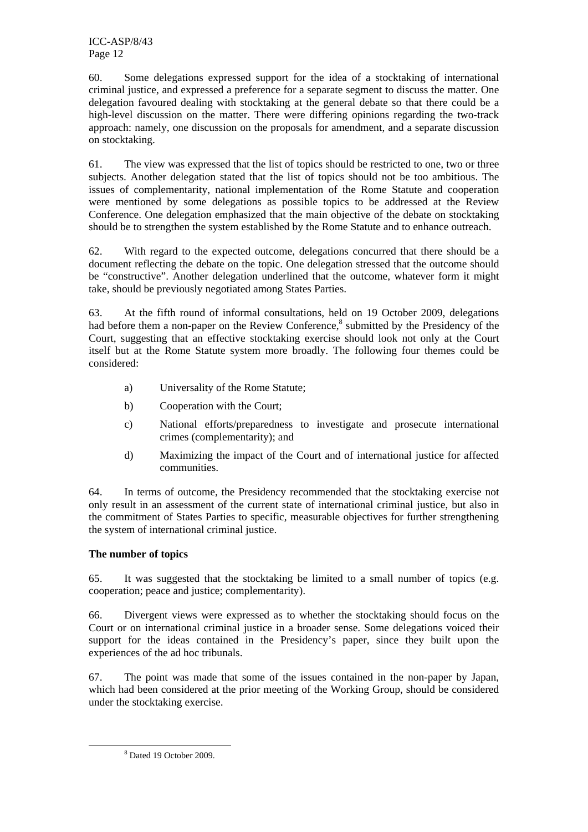ICC-ASP/8/43 Page 12

60. Some delegations expressed support for the idea of a stocktaking of international criminal justice, and expressed a preference for a separate segment to discuss the matter. One delegation favoured dealing with stocktaking at the general debate so that there could be a high-level discussion on the matter. There were differing opinions regarding the two-track approach: namely, one discussion on the proposals for amendment, and a separate discussion on stocktaking.

61. The view was expressed that the list of topics should be restricted to one, two or three subjects. Another delegation stated that the list of topics should not be too ambitious. The issues of complementarity, national implementation of the Rome Statute and cooperation were mentioned by some delegations as possible topics to be addressed at the Review Conference. One delegation emphasized that the main objective of the debate on stocktaking should be to strengthen the system established by the Rome Statute and to enhance outreach.

62. With regard to the expected outcome, delegations concurred that there should be a document reflecting the debate on the topic. One delegation stressed that the outcome should be "constructive". Another delegation underlined that the outcome, whatever form it might take, should be previously negotiated among States Parties.

63. At the fifth round of informal consultations, held on 19 October 2009, delegations had before them a non-paper on the Review Conference,<sup>8</sup> submitted by the Presidency of the Court, suggesting that an effective stocktaking exercise should look not only at the Court itself but at the Rome Statute system more broadly. The following four themes could be considered:

- a) Universality of the Rome Statute;
- b) Cooperation with the Court;
- c) National efforts/preparedness to investigate and prosecute international crimes (complementarity); and
- d) Maximizing the impact of the Court and of international justice for affected communities.

64. In terms of outcome, the Presidency recommended that the stocktaking exercise not only result in an assessment of the current state of international criminal justice, but also in the commitment of States Parties to specific, measurable objectives for further strengthening the system of international criminal justice.

# **The number of topics**

65. It was suggested that the stocktaking be limited to a small number of topics (e.g. cooperation; peace and justice; complementarity).

66. Divergent views were expressed as to whether the stocktaking should focus on the Court or on international criminal justice in a broader sense. Some delegations voiced their support for the ideas contained in the Presidency's paper, since they built upon the experiences of the ad hoc tribunals.

67. The point was made that some of the issues contained in the non-paper by Japan, which had been considered at the prior meeting of the Working Group, should be considered under the stocktaking exercise.

 $\frac{1}{8}$ Dated 19 October 2009.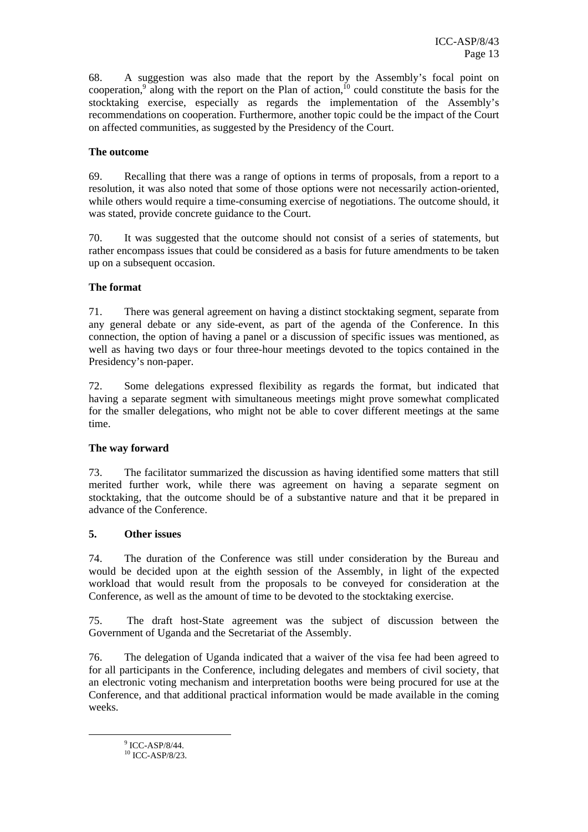68. A suggestion was also made that the report by the Assembly's focal point on cooperation,<sup>9</sup> along with the report on the Plan of action,<sup>10</sup> could constitute the basis for the stocktaking exercise, especially as regards the implementation of the Assembly's recommendations on cooperation. Furthermore, another topic could be the impact of the Court on affected communities, as suggested by the Presidency of the Court.

#### **The outcome**

69. Recalling that there was a range of options in terms of proposals, from a report to a resolution, it was also noted that some of those options were not necessarily action-oriented, while others would require a time-consuming exercise of negotiations. The outcome should, it was stated, provide concrete guidance to the Court.

70. It was suggested that the outcome should not consist of a series of statements, but rather encompass issues that could be considered as a basis for future amendments to be taken up on a subsequent occasion.

#### **The format**

71. There was general agreement on having a distinct stocktaking segment, separate from any general debate or any side-event, as part of the agenda of the Conference. In this connection, the option of having a panel or a discussion of specific issues was mentioned, as well as having two days or four three-hour meetings devoted to the topics contained in the Presidency's non-paper.

72. Some delegations expressed flexibility as regards the format, but indicated that having a separate segment with simultaneous meetings might prove somewhat complicated for the smaller delegations, who might not be able to cover different meetings at the same time.

#### **The way forward**

73. The facilitator summarized the discussion as having identified some matters that still merited further work, while there was agreement on having a separate segment on stocktaking, that the outcome should be of a substantive nature and that it be prepared in advance of the Conference.

#### **5. Other issues**

74. The duration of the Conference was still under consideration by the Bureau and would be decided upon at the eighth session of the Assembly, in light of the expected workload that would result from the proposals to be conveyed for consideration at the Conference, as well as the amount of time to be devoted to the stocktaking exercise.

75. The draft host-State agreement was the subject of discussion between the Government of Uganda and the Secretariat of the Assembly.

76. The delegation of Uganda indicated that a waiver of the visa fee had been agreed to for all participants in the Conference, including delegates and members of civil society, that an electronic voting mechanism and interpretation booths were being procured for use at the Conference, and that additional practical information would be made available in the coming weeks.

 $\frac{1}{9}$  $9$  ICC-ASP/8/44.

 $10$  ICC-ASP/8/23.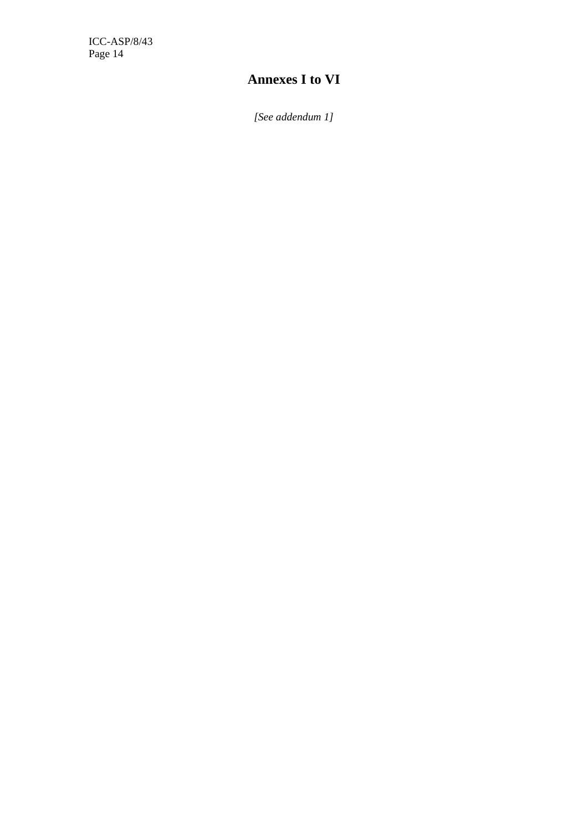ICC-ASP/8/43 Page 14

# **Annexes I to VI**

*[See addendum 1]*